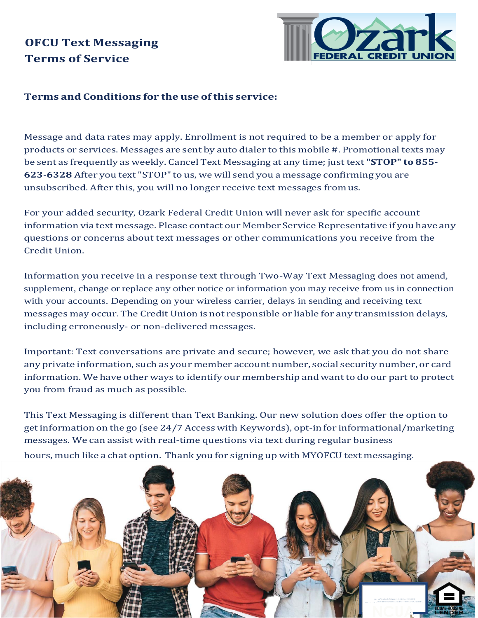

## **Terms and Conditions for the use ofthis service:**

Message and data rates may apply. Enrollment is not required to be a member or apply for products or services. Messages are sent by auto dialer to this mobile #. Promotional texts may be sent as frequently as weekly. Cancel Text Messaging at any time; just text **"STOP" to 855- 623-6328** After you text"STOP"to us, we will send you a message confirming you are unsubscribed. After this, you will no longer receive text messages fromus.

For your added security, Ozark Federal Credit Union will never ask for specific account information via text message. Please contact our Member Service Representative if you have any questions or concerns about text messages or other communications you receive from the Credit Union.

Information you receive in a response text through Two-Way Text Messaging does not amend, supplement, change or replace any other notice or information you may receive from us in connection with your accounts. Depending on your wireless carrier, delays in sending and receiving text messages may occur. The Credit Union is not responsible or liable for any transmission delays, including erroneously- or non-delivered messages.

Important: Text conversations are private and secure; however, we ask that you do not share any private information, such as your member account number, social security number, or card information. We have other ways to identify our membership and want to do our partto protect you from fraud as much as possible.

This Text Messaging is different than Text Banking. Our new solution does offer the option to getinformation on the go (see 24/7 Access with Keywords), opt-in for informational/marketing messages. We can assist with real-time questions via text during regular business hours, much like a chat option. Thank you for signing up with MYOFCU text messaging.